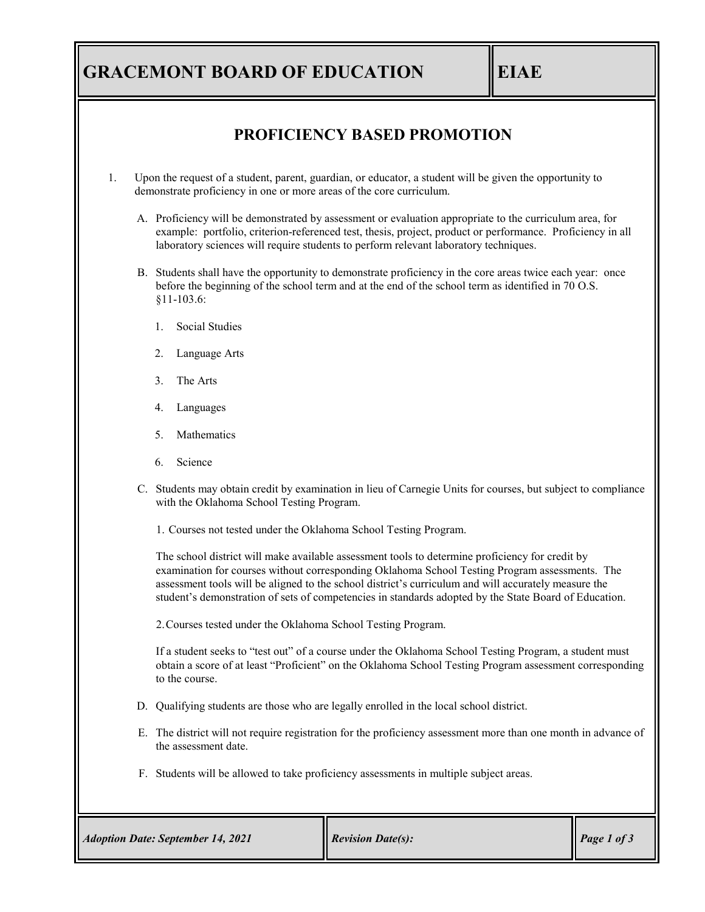# **GRACEMONT BOARD OF EDUCATION EIAE**

### **PROFICIENCY BASED PROMOTION**

- 1. Upon the request of a student, parent, guardian, or educator, a student will be given the opportunity to demonstrate proficiency in one or more areas of the core curriculum.
	- A. Proficiency will be demonstrated by assessment or evaluation appropriate to the curriculum area, for example: portfolio, criterion-referenced test, thesis, project, product or performance. Proficiency in all laboratory sciences will require students to perform relevant laboratory techniques.
	- B. Students shall have the opportunity to demonstrate proficiency in the core areas twice each year: once before the beginning of the school term and at the end of the school term as identified in 70 O.S. §11-103.6:
		- 1. Social Studies
		- 2. Language Arts
		- 3. The Arts
		- 4. Languages
		- 5. Mathematics
		- 6. Science
	- C. Students may obtain credit by examination in lieu of Carnegie Units for courses, but subject to compliance with the Oklahoma School Testing Program.
		- 1. Courses not tested under the Oklahoma School Testing Program.

The school district will make available assessment tools to determine proficiency for credit by examination for courses without corresponding Oklahoma School Testing Program assessments. The assessment tools will be aligned to the school district's curriculum and will accurately measure the student's demonstration of sets of competencies in standards adopted by the State Board of Education.

2.Courses tested under the Oklahoma School Testing Program.

If a student seeks to "test out" of a course under the Oklahoma School Testing Program, a student must obtain a score of at least "Proficient" on the Oklahoma School Testing Program assessment corresponding to the course.

- D. Qualifying students are those who are legally enrolled in the local school district.
- E. The district will not require registration for the proficiency assessment more than one month in advance of the assessment date.
- F. Students will be allowed to take proficiency assessments in multiple subject areas.

| <b>Adoption Date: September 14, 2021</b> | <b>Revision Date(s):</b> | $\vert$ Page 1 of 3 |
|------------------------------------------|--------------------------|---------------------|
|------------------------------------------|--------------------------|---------------------|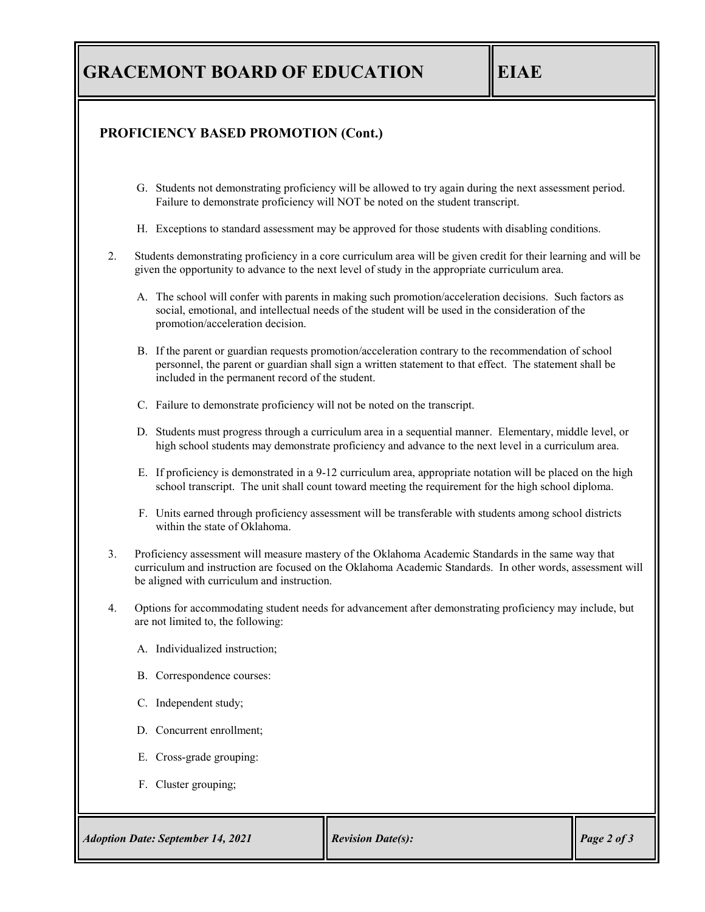## **GRACEMONT BOARD OF EDUCATION EIAE**

#### **PROFICIENCY BASED PROMOTION (Cont.)**

- G. Students not demonstrating proficiency will be allowed to try again during the next assessment period. Failure to demonstrate proficiency will NOT be noted on the student transcript.
- H. Exceptions to standard assessment may be approved for those students with disabling conditions.
- 2. Students demonstrating proficiency in a core curriculum area will be given credit for their learning and will be given the opportunity to advance to the next level of study in the appropriate curriculum area.
	- A. The school will confer with parents in making such promotion/acceleration decisions. Such factors as social, emotional, and intellectual needs of the student will be used in the consideration of the promotion/acceleration decision.
	- B. If the parent or guardian requests promotion/acceleration contrary to the recommendation of school personnel, the parent or guardian shall sign a written statement to that effect. The statement shall be included in the permanent record of the student.
	- C. Failure to demonstrate proficiency will not be noted on the transcript.
	- D. Students must progress through a curriculum area in a sequential manner. Elementary, middle level, or high school students may demonstrate proficiency and advance to the next level in a curriculum area.
	- E. If proficiency is demonstrated in a 9-12 curriculum area, appropriate notation will be placed on the high school transcript. The unit shall count toward meeting the requirement for the high school diploma.
	- F. Units earned through proficiency assessment will be transferable with students among school districts within the state of Oklahoma.
- 3. Proficiency assessment will measure mastery of the Oklahoma Academic Standards in the same way that curriculum and instruction are focused on the Oklahoma Academic Standards. In other words, assessment will be aligned with curriculum and instruction.
- 4. Options for accommodating student needs for advancement after demonstrating proficiency may include, but are not limited to, the following:
	- A. Individualized instruction;
	- B. Correspondence courses:
	- C. Independent study;
	- D. Concurrent enrollment;
	- E. Cross-grade grouping:
	- F. Cluster grouping;